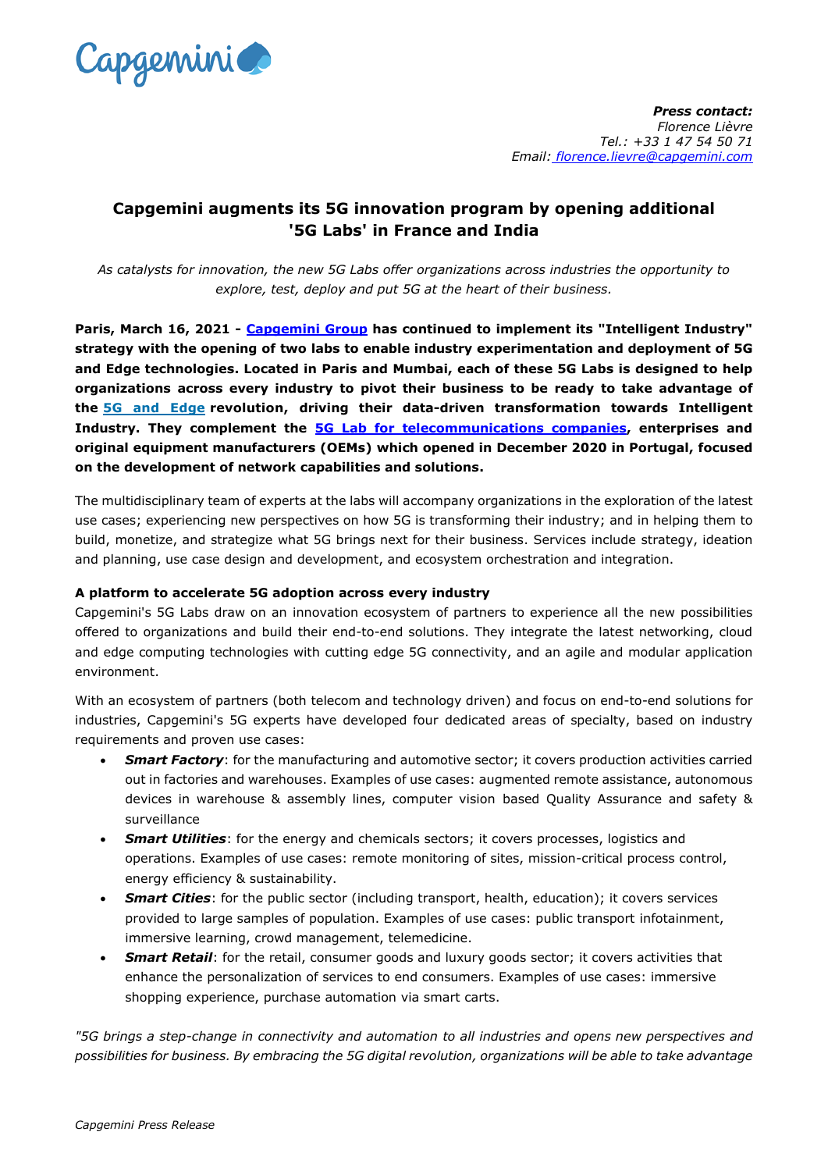

*Press contact: Florence Lièvre Tel.: +33 1 47 54 50 71 Email: florence.lievre@capgemini.com*

## **Capgemini augments its 5G innovation program by opening additional '5G Labs' in France and India**

*As catalysts for innovation, the new 5G Labs offer organizations across industries the opportunity to explore, test, deploy and put 5G at the heart of their business.*

**Paris, March 16, 2021 - [Capgemini Group](http://www.capgemini.com/) has continued to implement its "Intelligent Industry" strategy with the opening of two labs to enable industry experimentation and deployment of 5G and Edge technologies. Located in Paris and Mumbai, each of these 5G Labs is designed to help organizations across every industry to pivot their business to be ready to take advantage of the [5G and Edge](https://www.capgemini.com/gb-en/news/capgemini-announces-first-set-of-intelligent-industry-offerings-focused-on-5g-and-edge-to-enable-data-driven-business-transformation/) revolution, driving their data-driven transformation towards Intelligent Industry. They complement the [5G Lab for telecommunications companies,](https://www.capgemini.com/news/capgemini-accelerates-the-path-to-maximizing-5g-next-generation-technologies-with-new-5g-lab-as-a-service/) enterprises and original equipment manufacturers (OEMs) which opened in December 2020 in Portugal, focused on the development of network capabilities and solutions.**

The multidisciplinary team of experts at the labs will accompany organizations in the exploration of the latest use cases; experiencing new perspectives on how 5G is transforming their industry; and in helping them to build, monetize, and strategize what 5G brings next for their business. Services include strategy, ideation and planning, use case design and development, and ecosystem orchestration and integration.

## **A platform to accelerate 5G adoption across every industry**

Capgemini's 5G Labs draw on an innovation ecosystem of partners to experience all the new possibilities offered to organizations and build their end-to-end solutions. They integrate the latest networking, cloud and edge computing technologies with cutting edge 5G connectivity, and an agile and modular application environment.

With an ecosystem of partners (both telecom and technology driven) and focus on end-to-end solutions for industries, Capgemini's 5G experts have developed four dedicated areas of specialty, based on industry requirements and proven use cases:

- **Smart Factory:** for the manufacturing and automotive sector; it covers production activities carried out in factories and warehouses. Examples of use cases: augmented remote assistance, autonomous devices in warehouse & assembly lines, computer vision based Quality Assurance and safety & surveillance
- *Smart Utilities*: for the energy and chemicals sectors; it covers processes, logistics and operations. Examples of use cases: remote monitoring of sites, mission-critical process control, energy efficiency & sustainability.
- **Smart Cities**: for the public sector (including transport, health, education); it covers services provided to large samples of population. Examples of use cases: public transport infotainment, immersive learning, crowd management, telemedicine.
- **Smart Retail:** for the retail, consumer goods and luxury goods sector; it covers activities that enhance the personalization of services to end consumers. Examples of use cases: immersive shopping experience, purchase automation via smart carts.

*"5G brings a step-change in connectivity and automation to all industries and opens new perspectives and possibilities for business. By embracing the 5G digital revolution, organizations will be able to take advantage*